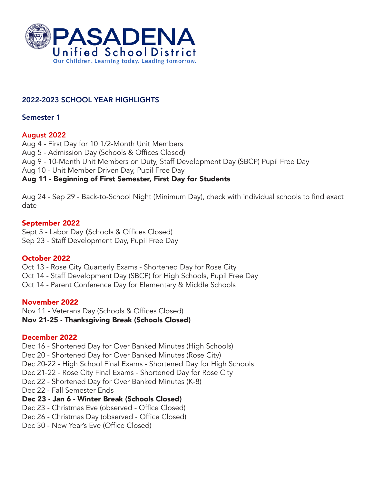

# 2022-2023 SCHOOL YEAR HIGHLIGHTS

### Semester 1

# August 2022

Aug 4 - First Day for 10 1/2-Month Unit Members

Aug 5 - Admission Day (Schools & Offices Closed)

Aug 9 - 10-Month Unit Members on Duty, Staff Development Day (SBCP) Pupil Free Day

Aug 10 - Unit Member Driven Day, Pupil Free Day

# Aug 11 - Beginning of First Semester, First Day for Students

Aug 24 - Sep 29 - Back-to-School Night (Minimum Day), check with individual schools to find exact date

# September 2022

Sept 5 - Labor Day (Schools & Offices Closed) Sep 23 - Staff Development Day, Pupil Free Day

# October 2022

Oct 13 - Rose City Quarterly Exams - Shortened Day for Rose City Oct 14 - Staff Development Day (SBCP) for High Schools, Pupil Free Day Oct 14 - Parent Conference Day for Elementary & Middle Schools

# November 2022

Nov 11 - Veterans Day (Schools & Offices Closed) Nov 21-25 - Thanksgiving Break (Schools Closed)

# December 2022

Dec 16 - Shortened Day for Over Banked Minutes (High Schools) Dec 20 - Shortened Day for Over Banked Minutes (Rose City) Dec 20-22 - High School Final Exams - Shortened Day for High Schools Dec 21-22 - Rose City Final Exams - Shortened Day for Rose City Dec 22 - Shortened Day for Over Banked Minutes (K-8) Dec 22 - Fall Semester Ends Dec 23 - Jan 6 - Winter Break (Schools Closed) Dec 23 - Christmas Eve (observed - Office Closed) Dec 26 - Christmas Day (observed - Office Closed)

Dec 30 - New Year's Eve (Office Closed)